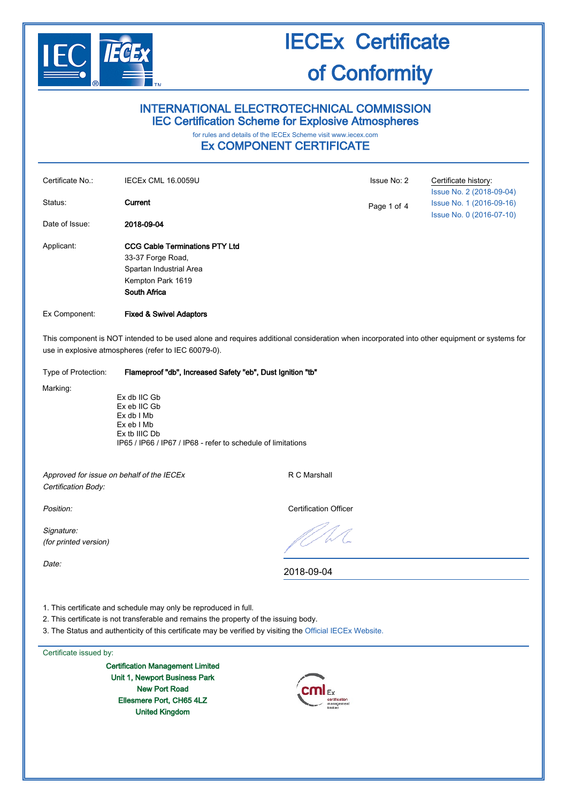

# INTERNATIONAL ELECTROTECHNICAL COMMISSION IEC Certification Scheme for Explosive Atmospheres

# for rules and details of the IECEx Scheme visit [www.iecex.com](http://www.iecex.com/)

# Ex COMPONENT CERTIFICATE

| Certificate No.:                                                                                                                                                                                    | <b>IECEx CML 16.0059U</b>                                                                                                                 |                              | Issue No: 2 | Certificate history:<br>Issue No. 2 (2018-09-04)     |  |
|-----------------------------------------------------------------------------------------------------------------------------------------------------------------------------------------------------|-------------------------------------------------------------------------------------------------------------------------------------------|------------------------------|-------------|------------------------------------------------------|--|
| Status:                                                                                                                                                                                             | Current                                                                                                                                   |                              | Page 1 of 4 | Issue No. 1 (2016-09-16)<br>Issue No. 0 (2016-07-10) |  |
| Date of Issue:                                                                                                                                                                                      | 2018-09-04                                                                                                                                |                              |             |                                                      |  |
| Applicant:                                                                                                                                                                                          | <b>CCG Cable Terminations PTY Ltd</b><br>33-37 Forge Road,<br>Spartan Industrial Area<br>Kempton Park 1619<br><b>South Africa</b>         |                              |             |                                                      |  |
| Ex Component:                                                                                                                                                                                       | <b>Fixed &amp; Swivel Adaptors</b>                                                                                                        |                              |             |                                                      |  |
| This component is NOT intended to be used alone and requires additional consideration when incorporated into other equipment or systems for<br>use in explosive atmospheres (refer to IEC 60079-0). |                                                                                                                                           |                              |             |                                                      |  |
| Type of Protection:                                                                                                                                                                                 | Flameproof "db", Increased Safety "eb", Dust Ignition "tb"                                                                                |                              |             |                                                      |  |
| Marking:                                                                                                                                                                                            | Ex db IIC Gb<br>Ex eb IIC Gb<br>Ex db I Mb<br>Ex eb I Mb<br>Ex tb IIIC Db<br>IP65 / IP66 / IP67 / IP68 - refer to schedule of limitations |                              |             |                                                      |  |
| Approved for issue on behalf of the IECEx<br>Certification Body:                                                                                                                                    |                                                                                                                                           | R C Marshall                 |             |                                                      |  |
| Position:                                                                                                                                                                                           |                                                                                                                                           | <b>Certification Officer</b> |             |                                                      |  |
| Signature:<br>(for printed version)                                                                                                                                                                 |                                                                                                                                           |                              |             |                                                      |  |
| Date:                                                                                                                                                                                               |                                                                                                                                           | 2018-09-04                   |             |                                                      |  |

1. This certificate and schedule may only be reproduced in full.

2. This certificate is not transferable and remains the property of the issuing body.

3. The Status and authenticity of this certificate may be verified by visiting the [Official IECEx Website.](http://iecex.iec.ch/)

### Certificate issued by:

Certification Management Limited Unit 1, Newport Business Park New Port Road Ellesmere Port, CH65 4LZ United Kingdom

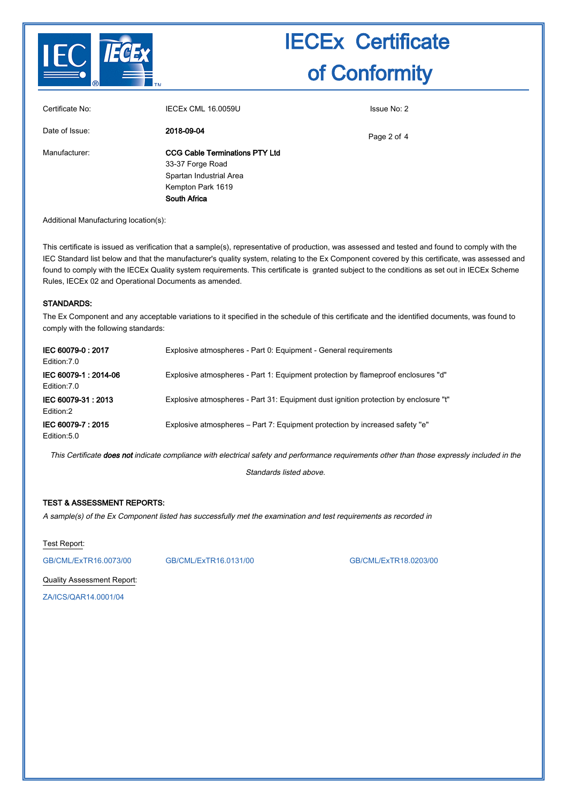

| Certificate No: | IECEx CML 16.0059U                    | Issue No: 2 |
|-----------------|---------------------------------------|-------------|
| Date of Issue:  | 2018-09-04                            | Page 2 of 4 |
| Manufacturer:   | <b>CCG Cable Terminations PTY Ltd</b> |             |
|                 | 33-37 Forge Road                      |             |
|                 | Spartan Industrial Area               |             |
|                 | Kempton Park 1619                     |             |
|                 | South Africa                          |             |

Additional Manufacturing location(s):

This certificate is issued as verification that a sample(s), representative of production, was assessed and tested and found to comply with the IEC Standard list below and that the manufacturer's quality system, relating to the Ex Component covered by this certificate, was assessed and found to comply with the IECEx Quality system requirements. This certificate is granted subject to the conditions as set out in IECEx Scheme Rules, IECEx 02 and Operational Documents as amended.

#### STANDARDS:

The Ex Component and any acceptable variations to it specified in the schedule of this certificate and the identified documents, was found to comply with the following standards:

| IEC 60079-0:2017<br>Edition: 7.0     | Explosive atmospheres - Part 0: Equipment - General requirements                     |
|--------------------------------------|--------------------------------------------------------------------------------------|
| IEC 60079-1: 2014-06<br>Edition: 7.0 | Explosive atmospheres - Part 1: Equipment protection by flameproof enclosures "d"    |
| IEC 60079-31: 2013<br>Edition:2      | Explosive atmospheres - Part 31: Equipment dust ignition protection by enclosure "t" |
| IEC 60079-7: 2015<br>Edition: 5.0    | Explosive atmospheres – Part 7: Equipment protection by increased safety "e"         |

This Certificate **does not** indicate compliance with electrical safety and performance requirements other than those expressly included in the

Standards listed above.

#### TEST & ASSESSMENT REPORTS:

A sample(s) of the Ex Component listed has successfully met the examination and test requirements as recorded in

Test Report:

[GB/CML/ExTR16.0073/00](http://iecex.iec.ch/extr/GB.CML.ExTR16.0073.00) [GB/CML/ExTR16.0131/00](http://iecex.iec.ch/extr/GB.CML.ExTR16.0131.00) [GB/CML/ExTR18.0203/00](http://iecex.iec.ch/extr/GB.CML.ExTR18.0203.00)

Quality Assessment Report:

[ZA/ICS/QAR14.0001/04](http://iecex.iec.ch/qar/ZA.ICS.QAR14.0001.04)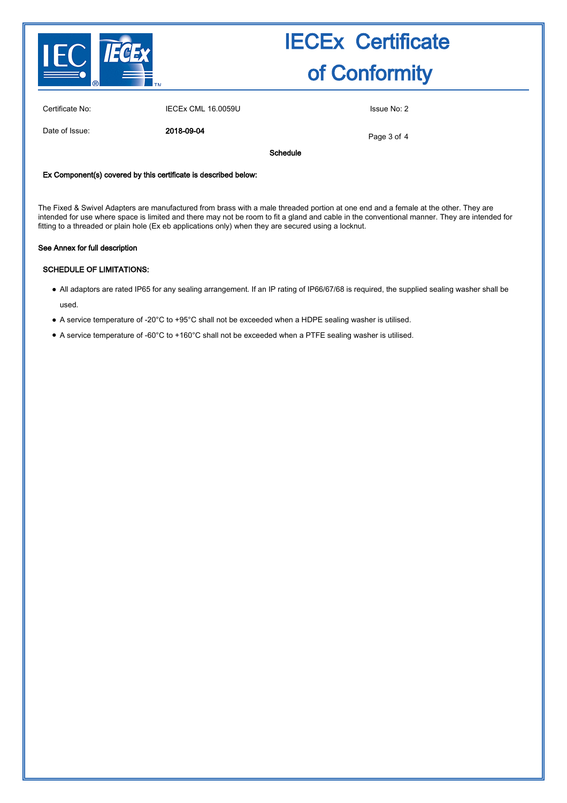

Certificate No: IECEx CML 16.0059U Issue No: 2

Date of Issue: 2018-09-04

Page 3 of 4

Schedule

### Ex Component(s) covered by this certificate is described below:

The Fixed & Swivel Adapters are manufactured from brass with a male threaded portion at one end and a female at the other. They are intended for use where space is limited and there may not be room to fit a gland and cable in the conventional manner. They are intended for fitting to a threaded or plain hole (Ex eb applications only) when they are secured using a locknut.

#### See Annex for full description

## SCHEDULE OF LIMITATIONS:

- All adaptors are rated IP65 for any sealing arrangement. If an IP rating of IP66/67/68 is required, the supplied sealing washer shall be used.
- A service temperature of -20°C to +95°C shall not be exceeded when a HDPE sealing washer is utilised.
- A service temperature of -60°C to +160°C shall not be exceeded when a PTFE sealing washer is utilised.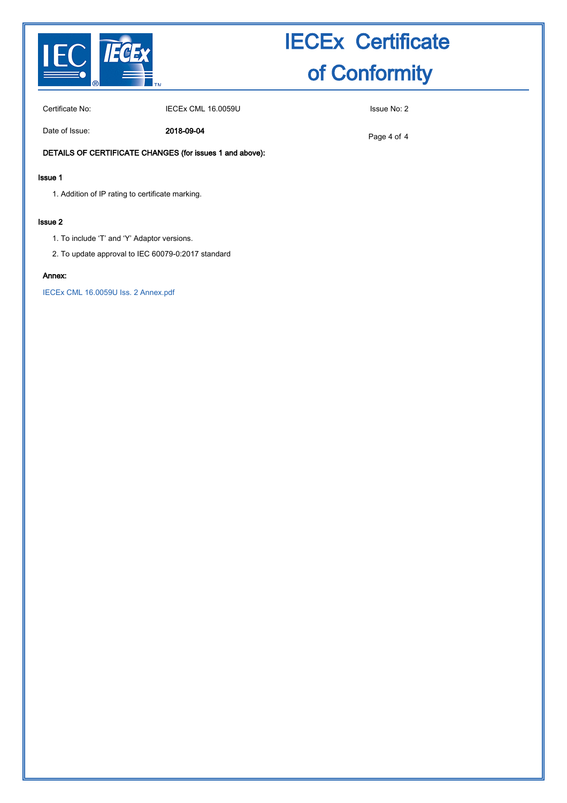

Certificate No: **IECEX CML 16.0059U** Certificate No: 2

Date of Issue: 2018-09-04

Page 4 of 4

### DETAILS OF CERTIFICATE CHANGES (for issues 1 and above):

### Issue 1

1. Addition of IP rating to certificate marking.

#### Issue 2

- 1. To include 'T' and 'Y' Adaptor versions.
- 2. To update approval to IEC 60079-0:2017 standard

### Annex:

[IECEx CML 16.0059U Iss. 2 Annex.pdf](http://iecex.iec.ch/cert/IECExCML16.0059U2/$File/IECEx CML 16.0059U Iss. 2 Annex.pdf)